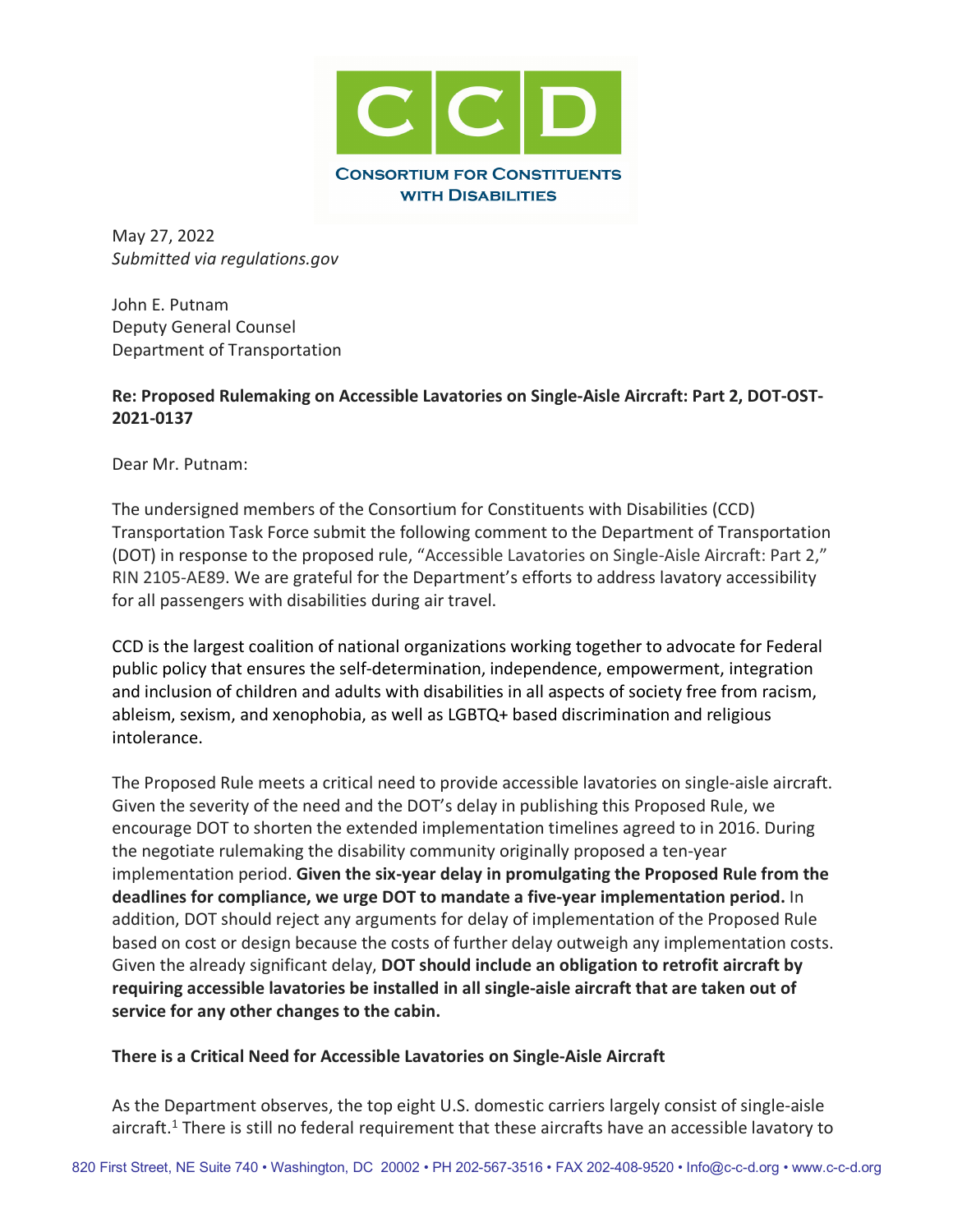

May 27, 2022 *Submitted via regulations.gov*

John E. Putnam Deputy General Counsel Department of Transportation

#### **Re: Proposed Rulemaking on Accessible Lavatories on Single-Aisle Aircraft: Part 2, DOT-OST-2021-0137**

Dear Mr. Putnam:

The undersigned members of the Consortium for Constituents with Disabilities (CCD) Transportation Task Force submit the following comment to the Department of Transportation (DOT) in response to the proposed rule, "Accessible Lavatories on Single-Aisle Aircraft: Part 2," RIN 2105-AE89. We are grateful for the Department's efforts to address lavatory accessibility for all passengers with disabilities during air travel.

CCD is the largest coalition of national organizations working together to advocate for Federal public policy that ensures the self-determination, independence, empowerment, integration and inclusion of children and adults with disabilities in all aspects of society free from racism, ableism, sexism, and xenophobia, as well as LGBTQ+ based discrimination and religious intolerance.

The Proposed Rule meets a critical need to provide accessible lavatories on single-aisle aircraft. Given the severity of the need and the DOT's delay in publishing this Proposed Rule, we encourage DOT to shorten the extended implementation timelines agreed to in 2016. During the negotiate rulemaking the disability community originally proposed a ten-year implementation period. **Given the six-year delay in promulgating the Proposed Rule from the deadlines for compliance, we urge DOT to mandate a five-year implementation period.** In addition, DOT should reject any arguments for delay of implementation of the Proposed Rule based on cost or design because the costs of further delay outweigh any implementation costs. Given the already significant delay, **DOT should include an obligation to retrofit aircraft by requiring accessible lavatories be installed in all single-aisle aircraft that are taken out of service for any other changes to the cabin.**

#### **There is a Critical Need for Accessible Lavatories on Single-Aisle Aircraft**

As the Department observes, the top eight U.S. domestic carriers largely consist of single-aisle aircraft.<sup>1</sup> There is still no federal requirement that these aircrafts have an accessible lavatory to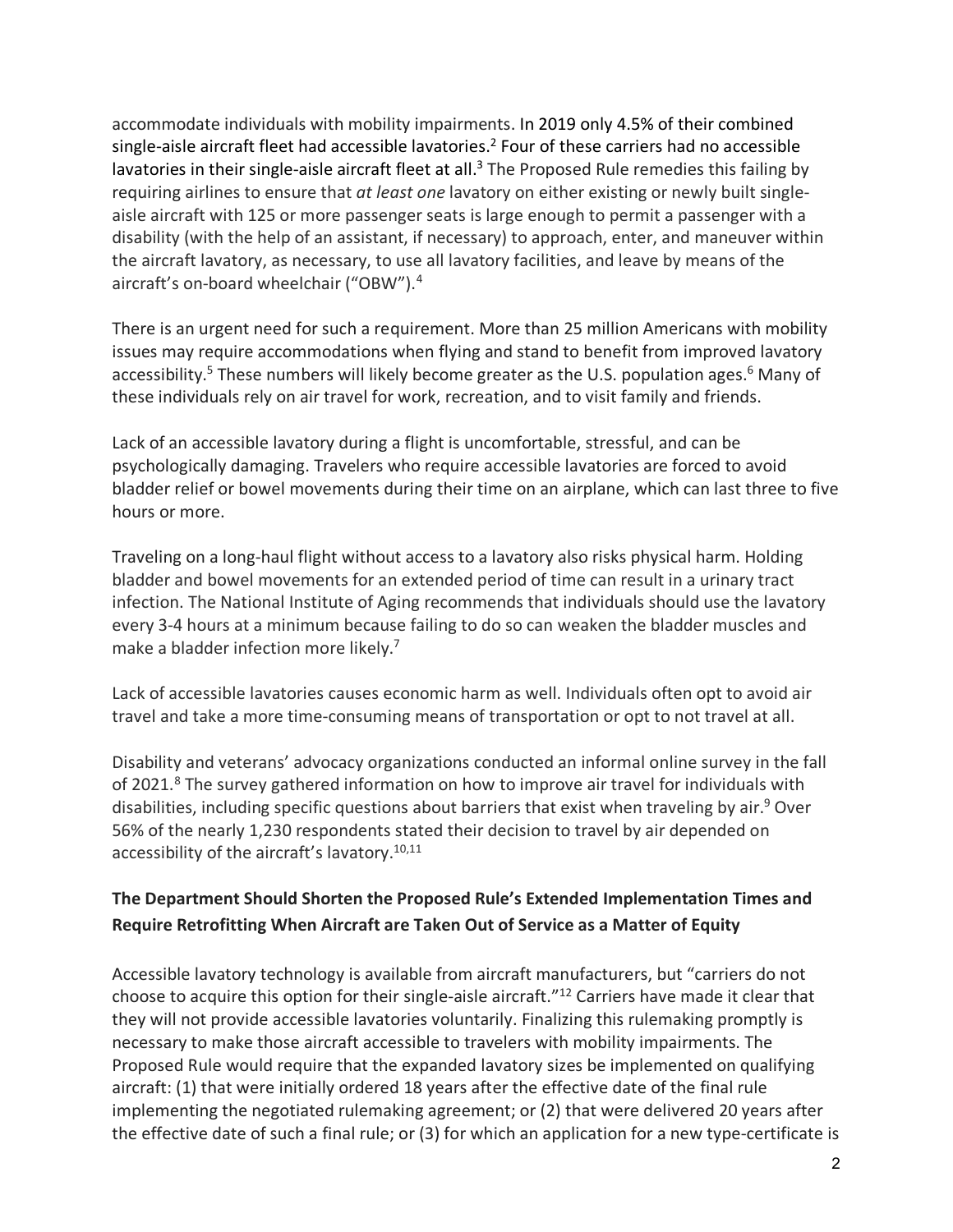accommodate individuals with mobility impairments. In 2019 only 4.5% of their combined single-aisle aircraft fleet had accessible lavatories.<sup>2</sup> Four of these carriers had no accessible lavatories in their single-aisle aircraft fleet at all.<sup>3</sup> The Proposed Rule remedies this failing by requiring airlines to ensure that *at least one* lavatory on either existing or newly built singleaisle aircraft with 125 or more passenger seats is large enough to permit a passenger with a disability (with the help of an assistant, if necessary) to approach, enter, and maneuver within the aircraft lavatory, as necessary, to use all lavatory facilities, and leave by means of the aircraft's on-board wheelchair ("OBW").4

There is an urgent need for such a requirement. More than 25 million Americans with mobility issues may require accommodations when flying and stand to benefit from improved lavatory accessibility.<sup>5</sup> These numbers will likely become greater as the U.S. population ages.<sup>6</sup> Many of these individuals rely on air travel for work, recreation, and to visit family and friends.

Lack of an accessible lavatory during a flight is uncomfortable, stressful, and can be psychologically damaging. Travelers who require accessible lavatories are forced to avoid bladder relief or bowel movements during their time on an airplane, which can last three to five hours or more.

Traveling on a long-haul flight without access to a lavatory also risks physical harm. Holding bladder and bowel movements for an extended period of time can result in a urinary tract infection. The National Institute of Aging recommends that individuals should use the lavatory every 3-4 hours at a minimum because failing to do so can weaken the bladder muscles and make a bladder infection more likely.<sup>7</sup>

Lack of accessible lavatories causes economic harm as well. Individuals often opt to avoid air travel and take a more time-consuming means of transportation or opt to not travel at all.

Disability and veterans' advocacy organizations conducted an informal online survey in the fall of 2021.<sup>8</sup> The survey gathered information on how to improve air travel for individuals with disabilities, including specific questions about barriers that exist when traveling by air.<sup>9</sup> Over 56% of the nearly 1,230 respondents stated their decision to travel by air depended on accessibility of the aircraft's lavatory.10,11

## **The Department Should Shorten the Proposed Rule's Extended Implementation Times and Require Retrofitting When Aircraft are Taken Out of Service as a Matter of Equity**

Accessible lavatory technology is available from aircraft manufacturers, but "carriers do not choose to acquire this option for their single-aisle aircraft."12 Carriers have made it clear that they will not provide accessible lavatories voluntarily. Finalizing this rulemaking promptly is necessary to make those aircraft accessible to travelers with mobility impairments. The Proposed Rule would require that the expanded lavatory sizes be implemented on qualifying aircraft: (1) that were initially ordered 18 years after the effective date of the final rule implementing the negotiated rulemaking agreement; or (2) that were delivered 20 years after the effective date of such a final rule; or (3) for which an application for a new type-certificate is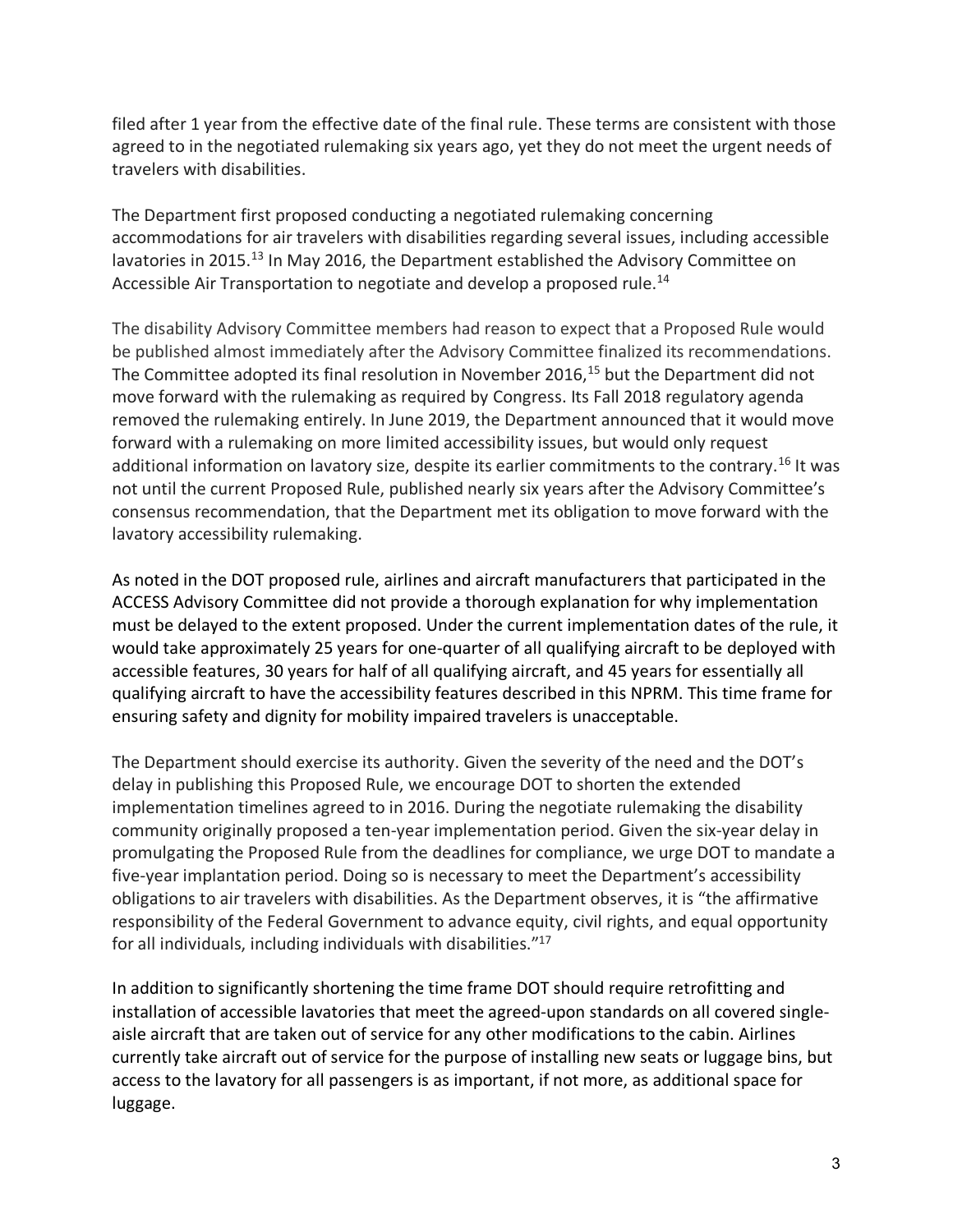filed after 1 year from the effective date of the final rule. These terms are consistent with those agreed to in the negotiated rulemaking six years ago, yet they do not meet the urgent needs of travelers with disabilities.

The Department first proposed conducting a negotiated rulemaking concerning accommodations for air travelers with disabilities regarding several issues, including accessible lavatories in 2015.<sup>13</sup> In May 2016, the Department established the Advisory Committee on Accessible Air Transportation to negotiate and develop a proposed rule.<sup>14</sup>

The disability Advisory Committee members had reason to expect that a Proposed Rule would be published almost immediately after the Advisory Committee finalized its recommendations. The Committee adopted its final resolution in November 2016, <sup>15</sup> but the Department did not move forward with the rulemaking as required by Congress. Its Fall 2018 regulatory agenda removed the rulemaking entirely. In June 2019, the Department announced that it would move forward with a rulemaking on more limited accessibility issues, but would only request additional information on lavatory size, despite its earlier commitments to the contrary.<sup>16</sup> It was not until the current Proposed Rule, published nearly six years after the Advisory Committee's consensus recommendation, that the Department met its obligation to move forward with the lavatory accessibility rulemaking.

As noted in the DOT proposed rule, airlines and aircraft manufacturers that participated in the ACCESS Advisory Committee did not provide a thorough explanation for why implementation must be delayed to the extent proposed. Under the current implementation dates of the rule, it would take approximately 25 years for one-quarter of all qualifying aircraft to be deployed with accessible features, 30 years for half of all qualifying aircraft, and 45 years for essentially all qualifying aircraft to have the accessibility features described in this NPRM. This time frame for ensuring safety and dignity for mobility impaired travelers is unacceptable.

The Department should exercise its authority. Given the severity of the need and the DOT's delay in publishing this Proposed Rule, we encourage DOT to shorten the extended implementation timelines agreed to in 2016. During the negotiate rulemaking the disability community originally proposed a ten-year implementation period. Given the six-year delay in promulgating the Proposed Rule from the deadlines for compliance, we urge DOT to mandate a five-year implantation period. Doing so is necessary to meet the Department's accessibility obligations to air travelers with disabilities. As the Department observes, it is "the affirmative responsibility of the Federal Government to advance equity, civil rights, and equal opportunity for all individuals, including individuals with disabilities."17

In addition to significantly shortening the time frame DOT should require retrofitting and installation of accessible lavatories that meet the agreed-upon standards on all covered singleaisle aircraft that are taken out of service for any other modifications to the cabin. Airlines currently take aircraft out of service for the purpose of installing new seats or luggage bins, but access to the lavatory for all passengers is as important, if not more, as additional space for luggage.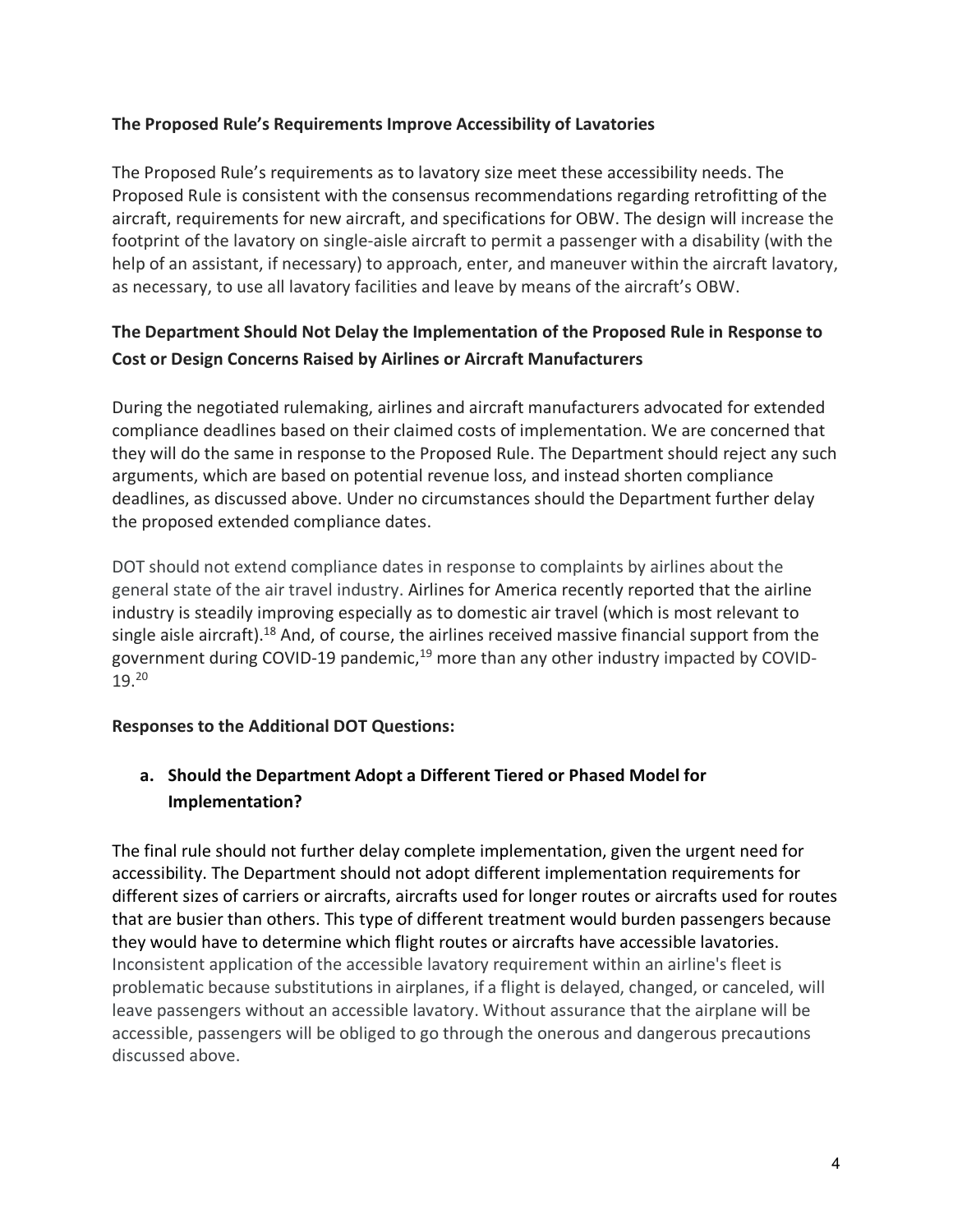#### **The Proposed Rule's Requirements Improve Accessibility of Lavatories**

The Proposed Rule's requirements as to lavatory size meet these accessibility needs. The Proposed Rule is consistent with the consensus recommendations regarding retrofitting of the aircraft, requirements for new aircraft, and specifications for OBW. The design will increase the footprint of the lavatory on single-aisle aircraft to permit a passenger with a disability (with the help of an assistant, if necessary) to approach, enter, and maneuver within the aircraft lavatory, as necessary, to use all lavatory facilities and leave by means of the aircraft's OBW.

## **The Department Should Not Delay the Implementation of the Proposed Rule in Response to Cost or Design Concerns Raised by Airlines or Aircraft Manufacturers**

During the negotiated rulemaking, airlines and aircraft manufacturers advocated for extended compliance deadlines based on their claimed costs of implementation. We are concerned that they will do the same in response to the Proposed Rule. The Department should reject any such arguments, which are based on potential revenue loss, and instead shorten compliance deadlines, as discussed above. Under no circumstances should the Department further delay the proposed extended compliance dates.

DOT should not extend compliance dates in response to complaints by airlines about the general state of the air travel industry. Airlines for America recently reported that the airline industry is steadily improving especially as to domestic air travel (which is most relevant to single aisle aircraft).18 And, of course, the airlines received massive financial support from the government during COVID-19 pandemic,<sup>19</sup> more than any other industry impacted by COVID-19.20

### **Responses to the Additional DOT Questions:**

# **a. Should the Department Adopt a Different Tiered or Phased Model for Implementation?**

The final rule should not further delay complete implementation, given the urgent need for accessibility. The Department should not adopt different implementation requirements for different sizes of carriers or aircrafts, aircrafts used for longer routes or aircrafts used for routes that are busier than others. This type of different treatment would burden passengers because they would have to determine which flight routes or aircrafts have accessible lavatories. Inconsistent application of the accessible lavatory requirement within an airline's fleet is problematic because substitutions in airplanes, if a flight is delayed, changed, or canceled, will leave passengers without an accessible lavatory. Without assurance that the airplane will be accessible, passengers will be obliged to go through the onerous and dangerous precautions discussed above.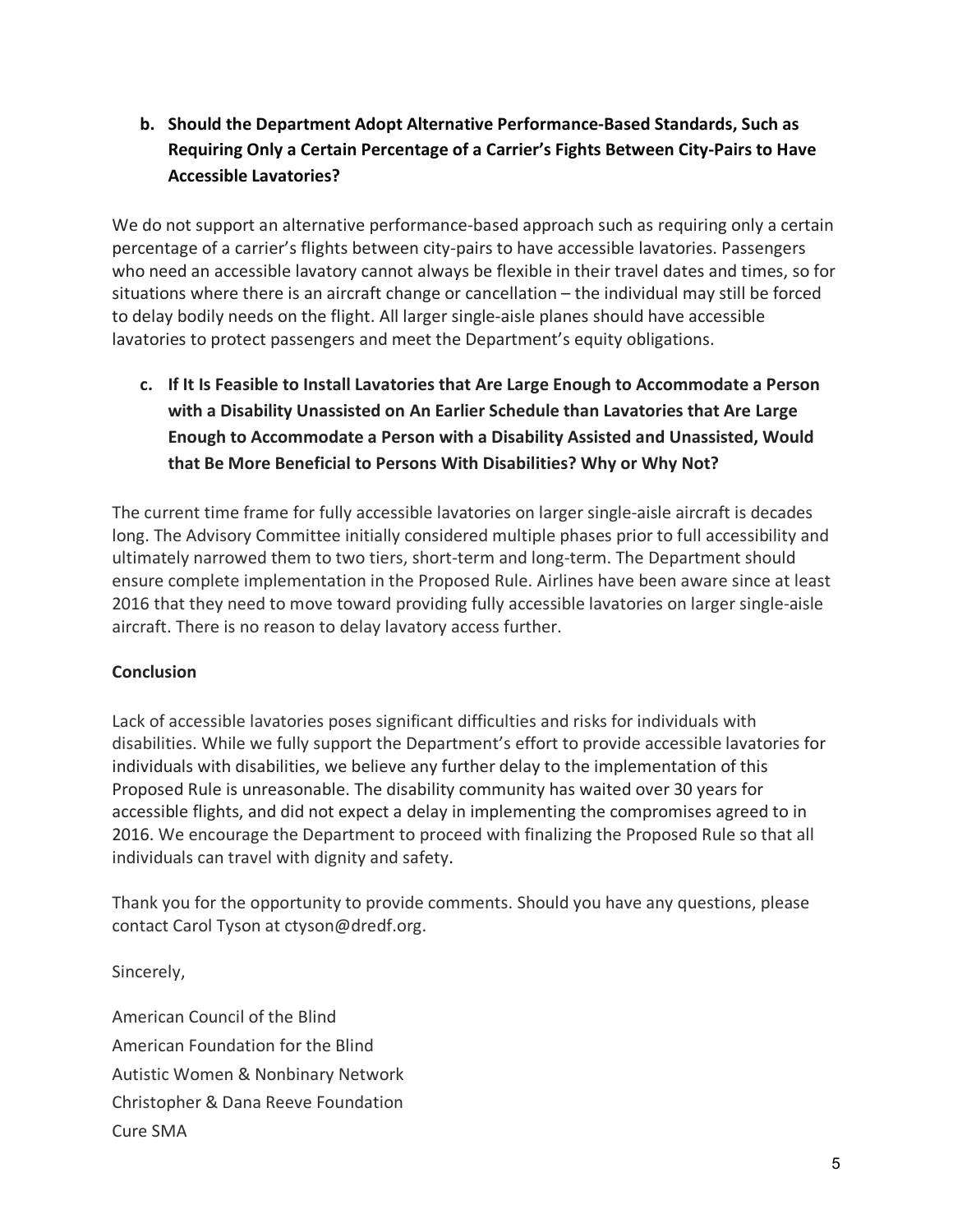**b. Should the Department Adopt Alternative Performance-Based Standards, Such as Requiring Only a Certain Percentage of a Carrier's Fights Between City-Pairs to Have Accessible Lavatories?**

We do not support an alternative performance-based approach such as requiring only a certain percentage of a carrier's flights between city-pairs to have accessible lavatories. Passengers who need an accessible lavatory cannot always be flexible in their travel dates and times, so for situations where there is an aircraft change or cancellation – the individual may still be forced to delay bodily needs on the flight. All larger single-aisle planes should have accessible lavatories to protect passengers and meet the Department's equity obligations.

**c. If It Is Feasible to Install Lavatories that Are Large Enough to Accommodate a Person with a Disability Unassisted on An Earlier Schedule than Lavatories that Are Large Enough to Accommodate a Person with a Disability Assisted and Unassisted, Would that Be More Beneficial to Persons With Disabilities? Why or Why Not?**

The current time frame for fully accessible lavatories on larger single-aisle aircraft is decades long. The Advisory Committee initially considered multiple phases prior to full accessibility and ultimately narrowed them to two tiers, short-term and long-term. The Department should ensure complete implementation in the Proposed Rule. Airlines have been aware since at least 2016 that they need to move toward providing fully accessible lavatories on larger single-aisle aircraft. There is no reason to delay lavatory access further.

### **Conclusion**

Lack of accessible lavatories poses significant difficulties and risks for individuals with disabilities. While we fully support the Department's effort to provide accessible lavatories for individuals with disabilities, we believe any further delay to the implementation of this Proposed Rule is unreasonable. The disability community has waited over 30 years for accessible flights, and did not expect a delay in implementing the compromises agreed to in 2016. We encourage the Department to proceed with finalizing the Proposed Rule so that all individuals can travel with dignity and safety.

Thank you for the opportunity to provide comments. Should you have any questions, please contact Carol Tyson at ctyson@dredf.org.

Sincerely,

American Council of the Blind American Foundation for the Blind Autistic Women & Nonbinary Network Christopher & Dana Reeve Foundation Cure SMA